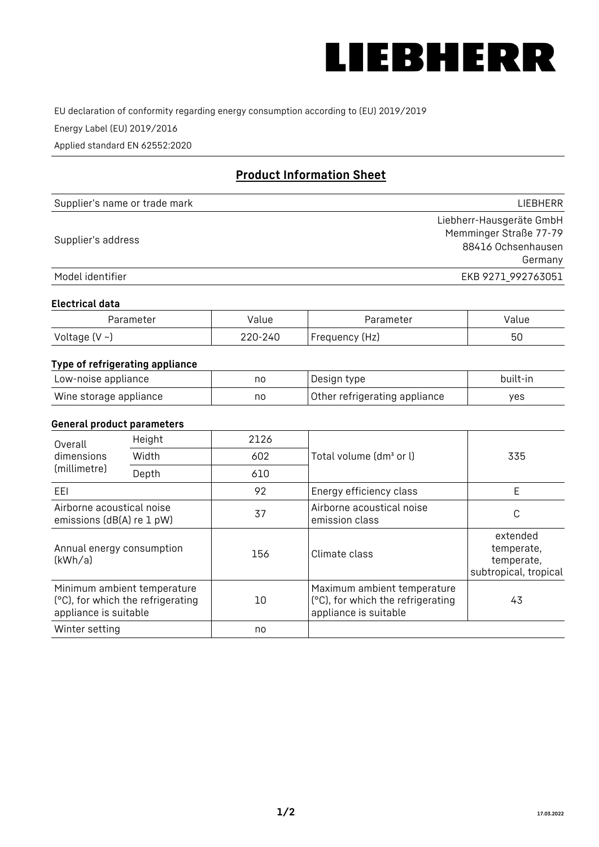

EU declaration of conformity regarding energy consumption according to (EU) 2019/2019

Energy Label (EU) 2019/2016

Applied standard EN 62552:2020

# **Product Information Sheet**

| Supplier's name or trade mark | LIEBHERR                 |
|-------------------------------|--------------------------|
|                               | Liebherr-Hausgeräte GmbH |
| Supplier's address            | Memminger Straße 77-79   |
|                               | 88416 Ochsenhausen       |
|                               | Germany                  |
| Model identifier              | EKB 9271 992763051       |

#### **Electrical data**

| Parameter           | Value   | Parameter      | Value |
|---------------------|---------|----------------|-------|
| Voltage (V $\sim$ ) | 220-240 | Frequency (Hz) | 50    |

# **Type of refrigerating appliance**

| Low-noise appliance    | no | Design type                   | built-in |
|------------------------|----|-------------------------------|----------|
| Wine storage appliance | nc | Other refrigerating appliance | ves      |

## **General product parameters**

| Height<br>Overall                                      |                                                                  | 2126 |                                                                                           |                                                               |
|--------------------------------------------------------|------------------------------------------------------------------|------|-------------------------------------------------------------------------------------------|---------------------------------------------------------------|
| dimensions<br>(millimetre)                             | Width                                                            | 602  | Total volume (dm <sup>3</sup> or l)                                                       | 335                                                           |
|                                                        | Depth                                                            | 610  |                                                                                           |                                                               |
| EEL                                                    |                                                                  | 92   | Energy efficiency class                                                                   | E                                                             |
| Airborne acoustical noise<br>emissions (dB(A) re 1 pW) |                                                                  | 37   | Airborne acoustical noise<br>emission class                                               | С                                                             |
| Annual energy consumption<br>(kWh/a)                   |                                                                  | 156  | Climate class                                                                             | extended<br>temperate,<br>temperate,<br>subtropical, tropical |
| appliance is suitable                                  | Minimum ambient temperature<br>(°C), for which the refrigerating | 10   | Maximum ambient temperature<br>(°C), for which the refrigerating<br>appliance is suitable | 43                                                            |
| Winter setting                                         |                                                                  | no   |                                                                                           |                                                               |